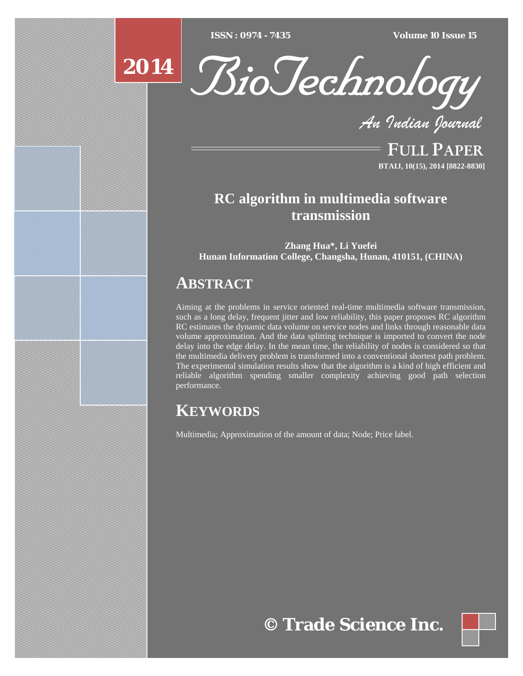$ISSN : 0974 - 7435$ 

*ISSN : 0974 - 7435 Volume 10 Issue 15*





*An Indian Journal*

FULL PAPER **BTAIJ, 10(15), 2014 [8822-8830]**

# **RC algorithm in multimedia software transmission**

**Zhang Hua\*, Li Yuefei Hunan Information College, Changsha, Hunan, 410151, (CHINA)** 

# **ABSTRACT**

Aiming at the problems in service oriented real-time multimedia software transmission, such as a long delay, frequent jitter and low reliability, this paper proposes RC algorithm RC estimates the dynamic data volume on service nodes and links through reasonable data volume approximation. And the data splitting technique is imported to convert the node delay into the edge delay. In the mean time, the reliability of nodes is considered so that the multimedia delivery problem is transformed into a conventional shortest path problem. The experimental simulation results show that the algorithm is a kind of high efficient and reliable algorithm spending smaller complexity achieving good path selection performance.

# **KEYWORDS**

Multimedia; Approximation of the amount of data; Node; Price label.

**© Trade Science Inc.**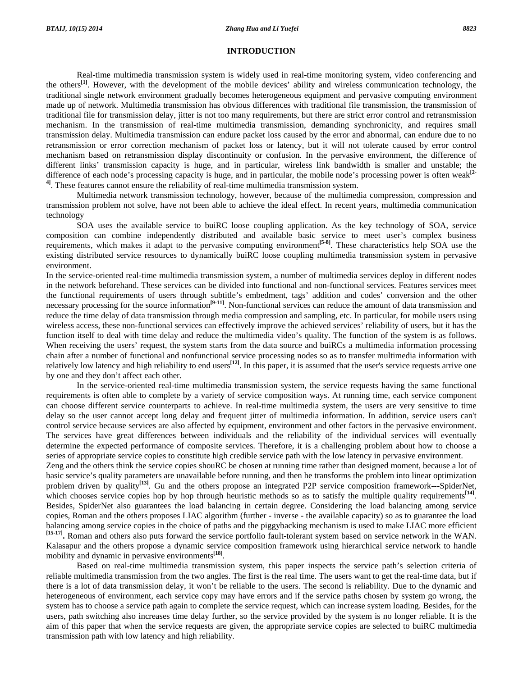#### **INTRODUCTION**

 Real-time multimedia transmission system is widely used in real-time monitoring system, video conferencing and the others**[1]**. However, with the development of the mobile devices' ability and wireless communication technology, the traditional single network environment gradually becomes heterogeneous equipment and pervasive computing environment made up of network. Multimedia transmission has obvious differences with traditional file transmission, the transmission of traditional file for transmission delay, jitter is not too many requirements, but there are strict error control and retransmission mechanism. In the transmission of real-time multimedia transmission, demanding synchronicity, and requires small transmission delay. Multimedia transmission can endure packet loss caused by the error and abnormal, can endure due to no retransmission or error correction mechanism of packet loss or latency, but it will not tolerate caused by error control mechanism based on retransmission display discontinuity or confusion. In the pervasive environment, the difference of different links' transmission capacity is huge, and in particular, wireless link bandwidth is smaller and unstable; the difference of each node's processing capacity is huge, and in particular, the mobile node's processing power is often weak**[2- 4]**. These features cannot ensure the reliability of real-time multimedia transmission system.

 Multimedia network transmission technology, however, because of the multimedia compression, compression and transmission problem not solve, have not been able to achieve the ideal effect. In recent years, multimedia communication technology

 SOA uses the available service to buiRC loose coupling application. As the key technology of SOA, service composition can combine independently distributed and available basic service to meet user's complex business requirements, which makes it adapt to the pervasive computing environment**[5-8]**. These characteristics help SOA use the existing distributed service resources to dynamically buiRC loose coupling multimedia transmission system in pervasive environment.

In the service-oriented real-time multimedia transmission system, a number of multimedia services deploy in different nodes in the network beforehand. These services can be divided into functional and non-functional services. Features services meet the functional requirements of users through subtitle's embedment, tags' addition and codes' conversion and the other necessary processing for the source information<sup>[9-11]</sup>. Non-functional services can reduce the amount of data transmission and reduce the time delay of data transmission through media compression and sampling, etc. In particular, for mobile users using wireless access, these non-functional services can effectively improve the achieved services' reliability of users, but it has the function itself to deal with time delay and reduce the multimedia video's quality. The function of the system is as follows. When receiving the users' request, the system starts from the data source and buiRCs a multimedia information processing chain after a number of functional and nonfunctional service processing nodes so as to transfer multimedia information with relatively low latency and high reliability to end users<sup>[12]</sup>. In this paper, it is assumed that the user's service requests arrive one by one and they don't affect each other.

 In the service-oriented real-time multimedia transmission system, the service requests having the same functional requirements is often able to complete by a variety of service composition ways. At running time, each service component can choose different service counterparts to achieve. In real-time multimedia system, the users are very sensitive to time delay so the user cannot accept long delay and frequent jitter of multimedia information. In addition, service users can't control service because services are also affected by equipment, environment and other factors in the pervasive environment. The services have great differences between individuals and the reliability of the individual services will eventually determine the expected performance of composite services. Therefore, it is a challenging problem about how to choose a series of appropriate service copies to constitute high credible service path with the low latency in pervasive environment.

Zeng and the others think the service copies shouRC be chosen at running time rather than designed moment, because a lot of basic service's quality parameters are unavailable before running, and then he transforms the problem into linear optimization problem driven by quality<sup>[13]</sup>. Gu and the others propose an integrated P2P service composition framework---SpiderNet, which chooses service copies hop by hop through heuristic methods so as to satisfy the multiple quality requirements<sup>[14]</sup>. Besides, SpiderNet also guarantees the load balancing in certain degree. Considering the load balancing among service copies, Roman and the others proposes LIAC algorithm (further - inverse - the available capacity) so as to guarantee the load balancing among service copies in the choice of paths and the piggybacking mechanism is used to make LIAC more efficient **[15-17].** Roman and others also puts forward the service portfolio fault-tolerant system based on service network in the WAN. Kalasapur and the others propose a dynamic service composition framework using hierarchical service network to handle mobility and dynamic in pervasive environments<sup>[18]</sup>.

 Based on real-time multimedia transmission system, this paper inspects the service path's selection criteria of reliable multimedia transmission from the two angles. The first is the real time. The users want to get the real-time data, but if there is a lot of data transmission delay, it won't be reliable to the users. The second is reliability. Due to the dynamic and heterogeneous of environment, each service copy may have errors and if the service paths chosen by system go wrong, the system has to choose a service path again to complete the service request, which can increase system loading. Besides, for the users, path switching also increases time delay further, so the service provided by the system is no longer reliable. It is the aim of this paper that when the service requests are given, the appropriate service copies are selected to buiRC multimedia transmission path with low latency and high reliability.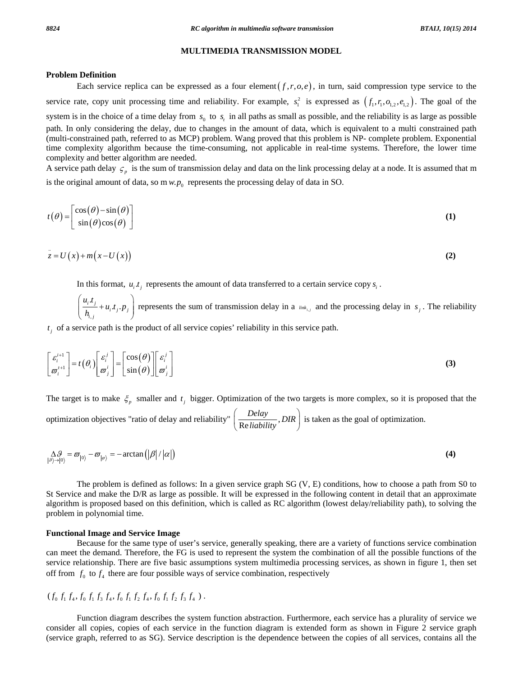#### **Problem Definition**

Each service replica can be expressed as a four element $(f, r, o, e)$ , in turn, said compression type service to the service rate, copy unit processing time and reliability. For example,  $s_1^2$  is expressed as  $(f_1, r_1, o_{1,2}, e_{1,2})$ . The goal of the system is in the choice of a time delay from  $s_0$  to  $s_t$  in all paths as small as possible, and the reliability is as large as possible path. In only considering the delay, due to changes in the amount of data, which is equivalent to a multi constrained path (multi-constrained path, referred to as MCP) problem. Wang proved that this problem is NP- complete problem. Exponential time complexity algorithm because the time-consuming, not applicable in real-time systems. Therefore, the lower time complexity and better algorithm are needed.

A service path delay  $\zeta_p$  is the sum of transmission delay and data on the link processing delay at a node. It is assumed that m is the original amount of data, so m  $w.p_0$  represents the processing delay of data in SO.

$$
t(\theta) = \begin{bmatrix} \cos(\theta) - \sin(\theta) \\ \sin(\theta)\cos(\theta) \end{bmatrix}
$$
 (1)

$$
z = U(x) + m(x - U(x))
$$
 (2)

In this format,  $u_i$ ,  $t_i$  represents the amount of data transferred to a certain service copy  $s_i$ .

,  $\frac{i}{i} \frac{t_j}{i_{i,j}} + u_i \cdot t_j \cdot p_j$  $\left( \frac{u_i \cdot t_j}{h_{i,i}} + u_i \cdot t_j \cdot p_j \right)$  $\left( n_{i,j} \right)$ represents the sum of transmission delay in a  $_{i,j}$  and the processing delay in  $s_j$ . The reliability

 $t_i$  of a service path is the product of all service copies' reliability in this service path.

$$
\begin{bmatrix} \varepsilon_i^{i+1} \\ \hline \sigma_i^{i+1} \end{bmatrix} = t(\theta_i) \begin{bmatrix} \varepsilon_i^j \\ \hline \sigma_j^i \end{bmatrix} = \begin{bmatrix} \cos(\theta) \\ \sin(\theta) \end{bmatrix} \begin{bmatrix} \varepsilon_i^j \\ \hline \sigma_j^i \end{bmatrix}
$$
 (3)

The target is to make  $\zeta_p$  smaller and  $t_i$  bigger. Optimization of the two targets is more complex, so it is proposed that the optimization objectives "ratio of delay and reliability"  $\left(\frac{Delay}{Relativity}, DIR\right)$  is taken as the goal of optimization.

$$
\Delta_{|\beta\rangle \to |0\rangle}^{\Delta \beta} = \varpi_{|0\rangle} - \varpi_{|\varphi\rangle} = -\arctan\left(|\beta|/|\alpha|\right)
$$
 (4)

 The problem is defined as follows: In a given service graph SG (V, E) conditions, how to choose a path from S0 to St Service and make the D/R as large as possible. It will be expressed in the following content in detail that an approximate algorithm is proposed based on this definition, which is called as RC algorithm (lowest delay/reliability path), to solving the problem in polynomial time.

#### **Functional Image and Service Image**

 Because for the same type of user's service, generally speaking, there are a variety of functions service combination can meet the demand. Therefore, the FG is used to represent the system the combination of all the possible functions of the service relationship. There are five basic assumptions system multimedia processing services, as shown in figure 1, then set off from  $f_0$  to  $f_4$  there are four possible ways of service combination, respectively

## $(f_0 f_1 f_4, f_0 f_1 f_3 f_4, f_0 f_1 f_2 f_4, f_0 f_1 f_5 f_5 f_4$  ).

 Function diagram describes the system function abstraction. Furthermore, each service has a plurality of service we consider all copies, copies of each service in the function diagram is extended form as shown in Figure 2 service graph (service graph, referred to as SG). Service description is the dependence between the copies of all services, contains all the

**MULTIMEDIA TRANSMISSION MODEL**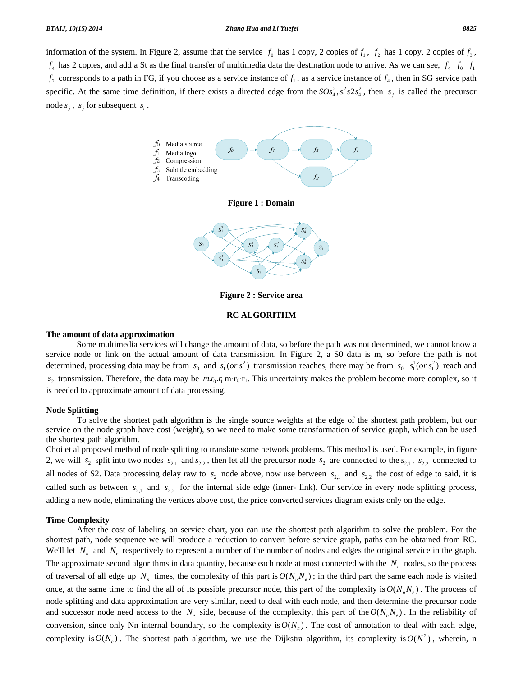#### *BTAIJ, 10(15) 2014 Zhang Hua and Li Yuefei 8825*

information of the system. In Figure 2, assume that the service  $f_0$  has 1 copy, 2 copies of  $f_1$ ,  $f_2$  has 1 copy, 2 copies of  $f_3$ ,  $f_4$  has 2 copies, and add a St as the final transfer of multimedia data the destination node to arrive. As we can see,  $f_4$   $f_0$   $f_1$  $f_2$  corresponds to a path in FG, if you choose as a service instance of  $f_1$ , as a service instance of  $f_4$ , then in SG service path specific. At the same time definition, if there exists a directed edge from the  $SOS<sub>4</sub><sup>2</sup>, S<sub>1</sub><sup>2</sup>  $S<sub>2</sub><sup>2</sup>$ , then  $s<sub>j</sub>$  is called the precursor$ node  $s_i$ ,  $s_j$  for subsequent  $s_j$ .





**Figure 2 : Service area** 

### **RC ALGORITHM**

#### **The amount of data approximation**

 Some multimedia services will change the amount of data, so before the path was not determined, we cannot know a service node or link on the actual amount of data transmission. In Figure 2, a S0 data is m, so before the path is not determined, processing data may be from  $s_0$  and  $s_1^1 (or s_1^2)$  transmission reaches, there may be from  $s_0$   $s_1^1 (or s_1^2)$  reach and  $s_2$  transmission. Therefore, the data may be  $m r_0 r_1 m r_0 r_1$ . This uncertainty makes the problem become more complex, so it is needed to approximate amount of data processing.

#### **Node Splitting**

 To solve the shortest path algorithm is the single source weights at the edge of the shortest path problem, but our service on the node graph have cost (weight), so we need to make some transformation of service graph, which can be used the shortest path algorithm.

Choi et al proposed method of node splitting to translate some network problems. This method is used. For example, in figure 2, we will  $s_2$  split into two nodes  $s_{2,1}$  and  $s_{2,2}$ , then let all the precursor node  $s_2$  are connected to the  $s_{2,1}$ ,  $s_{2,2}$  connected to all nodes of S2. Data processing delay raw to  $s_2$  node above, now use between  $s_{2,1}$  and  $s_{2,2}$  the cost of edge to said, it is called such as between  $s_{2,1}$  and  $s_{2,2}$  for the internal side edge (inner- link). Our service in every node splitting process, adding a new node, eliminating the vertices above cost, the price converted services diagram exists only on the edge.

#### **Time Complexity**

 After the cost of labeling on service chart, you can use the shortest path algorithm to solve the problem. For the shortest path, node sequence we will produce a reduction to convert before service graph, paths can be obtained from RC. We'll let  $N_n$  and  $N_e$  respectively to represent a number of the number of nodes and edges the original service in the graph. The approximate second algorithms in data quantity, because each node at most connected with the  $N_n$  nodes, so the process of traversal of all edge up  $N_n$  times, the complexity of this part is  $O(N_n N_e)$ ; in the third part the same each node is visited once, at the same time to find the all of its possible precursor node, this part of the complexity is  $O(N_nN_e)$ . The process of node splitting and data approximation are very similar, need to deal with each node, and then determine the precursor node and successor node need access to the  $N_e$  side, because of the complexity, this part of the  $O(N_nN_e)$ . In the reliability of conversion, since only Nn internal boundary, so the complexity is  $O(N_n)$ . The cost of annotation to deal with each edge, complexity is  $O(N_e)$ . The shortest path algorithm, we use the Dijkstra algorithm, its complexity is  $O(N^2)$ , wherein, n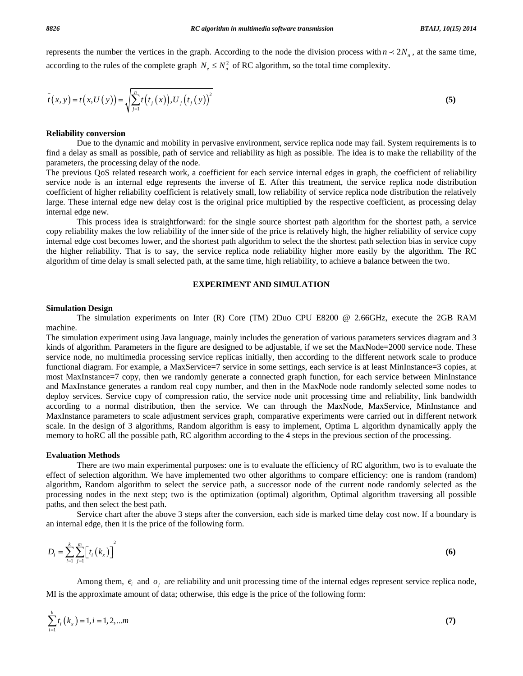represents the number the vertices in the graph. According to the node the division process with  $n \prec 2N_n$ , at the same time, according to the rules of the complete graph  $N_e \leq N_n^2$  of RC algorithm, so the total time complexity.

$$
\bar{t}(x, y) = t(x, U(y)) = \sqrt{\sum_{j=1}^{n} t(t_j(x)), U_j(t_j(y))^{2}}
$$
\n(5)

#### **Reliability conversion**

 Due to the dynamic and mobility in pervasive environment, service replica node may fail. System requirements is to find a delay as small as possible, path of service and reliability as high as possible. The idea is to make the reliability of the parameters, the processing delay of the node.

The previous QoS related research work, a coefficient for each service internal edges in graph, the coefficient of reliability service node is an internal edge represents the inverse of E. After this treatment, the service replica node distribution coefficient of higher reliability coefficient is relatively small, low reliability of service replica node distribution the relatively large. These internal edge new delay cost is the original price multiplied by the respective coefficient, as processing delay internal edge new.

 This process idea is straightforward: for the single source shortest path algorithm for the shortest path, a service copy reliability makes the low reliability of the inner side of the price is relatively high, the higher reliability of service copy internal edge cost becomes lower, and the shortest path algorithm to select the the shortest path selection bias in service copy the higher reliability. That is to say, the service replica node reliability higher more easily by the algorithm. The RC algorithm of time delay is small selected path, at the same time, high reliability, to achieve a balance between the two.

#### **EXPERIMENT AND SIMULATION**

#### **Simulation Design**

 The simulation experiments on Inter (R) Core (TM) 2Duo CPU E8200 @ 2.66GHz, execute the 2GB RAM machine.

The simulation experiment using Java language, mainly includes the generation of various parameters services diagram and 3 kinds of algorithm. Parameters in the figure are designed to be adjustable, if we set the MaxNode=2000 service node. These service node, no multimedia processing service replicas initially, then according to the different network scale to produce functional diagram. For example, a MaxService=7 service in some settings, each service is at least MinInstance=3 copies, at most MaxInstance=7 copy, then we randomly generate a connected graph function, for each service between MinInstance and MaxInstance generates a random real copy number, and then in the MaxNode node randomly selected some nodes to deploy services. Service copy of compression ratio, the service node unit processing time and reliability, link bandwidth according to a normal distribution, then the service. We can through the MaxNode, MaxService, MinInstance and MaxInstance parameters to scale adjustment services graph, comparative experiments were carried out in different network scale. In the design of 3 algorithms, Random algorithm is easy to implement, Optima L algorithm dynamically apply the memory to hoRC all the possible path, RC algorithm according to the 4 steps in the previous section of the processing.

#### **Evaluation Methods**

 There are two main experimental purposes: one is to evaluate the efficiency of RC algorithm, two is to evaluate the effect of selection algorithm. We have implemented two other algorithms to compare efficiency: one is random (random) algorithm, Random algorithm to select the service path, a successor node of the current node randomly selected as the processing nodes in the next step; two is the optimization (optimal) algorithm, Optimal algorithm traversing all possible paths, and then select the best path.

 Service chart after the above 3 steps after the conversion, each side is marked time delay cost now. If a boundary is an internal edge, then it is the price of the following form.

$$
D_i = \sum_{i=1}^k \sum_{j=1}^m \left[ t_i \left( k_x \right) \right]^2 \tag{6}
$$

Among them,  $e_i$  and  $o_j$  are reliability and unit processing time of the internal edges represent service replica node, MI is the approximate amount of data; otherwise, this edge is the price of the following form:

$$
\sum_{i=1}^{k} t_i(k_x) = 1, i = 1, 2, \dots m
$$
 (7)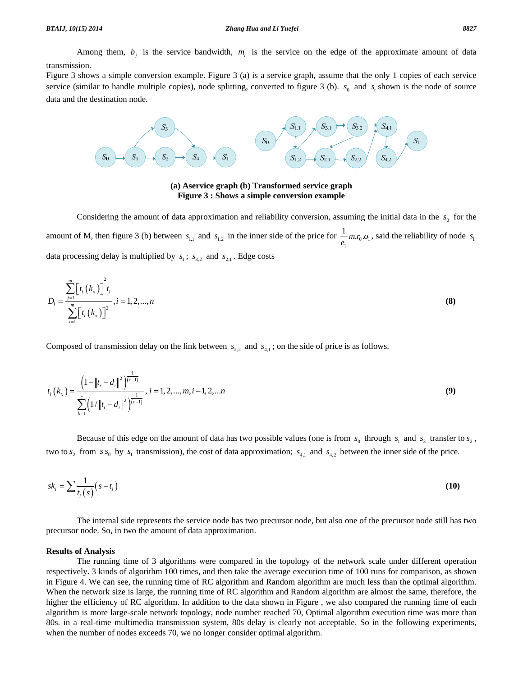Among them,  $b_i$  is the service bandwidth,  $m_i$  is the service on the edge of the approximate amount of data transmission.

Figure 3 shows a simple conversion example. Figure 3 (a) is a service graph, assume that the only 1 copies of each service service (similar to handle multiple copies), node splitting, converted to figure 3 (b).  $s_0$  and  $s_t$  shown is the node of source data and the destination node.



**(a) Aservice graph (b) Transformed service graph Figure 3 : Shows a simple conversion example** 

Considering the amount of data approximation and reliability conversion, assuming the initial data in the  $s_0$  for the amount of M, then figure 3 (b) between  $s_{1,1}$  and  $s_{1,2}$  in the inner side of the price for  $\frac{1}{e_1} m r_0 \cdot o_1$ , said the reliability of node  $s_1$ data processing delay is multiplied by  $s_1$ ;  $s_{3,2}$  and  $s_{2,1}$ . Edge costs

$$
D_{i} = \frac{\sum_{j=1}^{m} \left[ t_{i} \left( k_{x} \right) \right]^{2} t_{i}}{\sum_{i=1}^{m} \left[ t_{i} \left( k_{x} \right) \right]^{2}}, i = 1, 2, ..., n
$$
\n(8)

Composed of transmission delay on the link between  $s_{2,2}$  and  $s_{4,1}$ ; on the side of price is as follows.

$$
t_i\left(k_x\right) = \frac{\left(1 - \left\|t_i - d_i\right\|^2\right)^{\frac{1}{\left(c-1\right)}}}{\sum_{k=1}^c \left(1/\left\|t_i - d_i\right\|^2\right)^{\frac{1}{\left(c-1\right)}}}, i = 1, 2, ..., m, i-1, 2, ... n
$$
\n(9)

Because of this edge on the amount of data has two possible values (one is from  $s_0$  through  $s_1$  and  $s_3$  transfer to  $s_2$ , two to  $s_2$  from  $s s_0$  by  $s_1$  transmission), the cost of data approximation;  $s_{4,1}$  and  $s_{4,2}$  between the inner side of the price.

$$
sk_i = \sum \frac{1}{t_i(s)} (s - t_i)
$$
\n<sup>(10)</sup>

 The internal side represents the service node has two precursor node, but also one of the precursor node still has two precursor node. So, in two the amount of data approximation.

#### **Results of Analysis**

 The running time of 3 algorithms were compared in the topology of the network scale under different operation respectively. 3 kinds of algorithm 100 times, and then take the average execution time of 100 runs for comparison, as shown in Figure 4. We can see, the running time of RC algorithm and Random algorithm are much less than the optimal algorithm. When the network size is large, the running time of RC algorithm and Random algorithm are almost the same, therefore, the higher the efficiency of RC algorithm. In addition to the data shown in Figure, we also compared the running time of each algorithm is more large-scale network topology, node number reached 70, Optimal algorithm execution time was more than 80s. in a real-time multimedia transmission system, 80s delay is clearly not acceptable. So in the following experiments, when the number of nodes exceeds 70, we no longer consider optimal algorithm.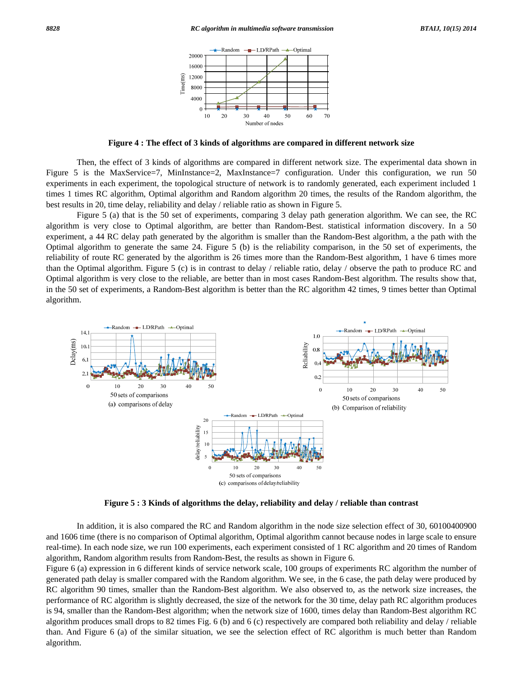

**Figure 4 : The effect of 3 kinds of algorithms are compared in different network size** 

 Then, the effect of 3 kinds of algorithms are compared in different network size. The experimental data shown in Figure 5 is the MaxService=7, MinInstance=2, MaxInstance=7 configuration. Under this configuration, we run 50 experiments in each experiment, the topological structure of network is to randomly generated, each experiment included 1 times 1 times RC algorithm, Optimal algorithm and Random algorithm 20 times, the results of the Random algorithm, the best results in 20, time delay, reliability and delay / reliable ratio as shown in Figure 5.

 Figure 5 (a) that is the 50 set of experiments, comparing 3 delay path generation algorithm. We can see, the RC algorithm is very close to Optimal algorithm, are better than Random-Best. statistical information discovery. In a 50 experiment, a 44 RC delay path generated by the algorithm is smaller than the Random-Best algorithm, a the path with the Optimal algorithm to generate the same 24. Figure 5 (b) is the reliability comparison, in the 50 set of experiments, the reliability of route RC generated by the algorithm is 26 times more than the Random-Best algorithm, 1 have 6 times more than the Optimal algorithm. Figure 5 (c) is in contrast to delay / reliable ratio, delay / observe the path to produce RC and Optimal algorithm is very close to the reliable, are better than in most cases Random-Best algorithm. The results show that, in the 50 set of experiments, a Random-Best algorithm is better than the RC algorithm 42 times, 9 times better than Optimal algorithm.



**Figure 5 : 3 Kinds of algorithms the delay, reliability and delay / reliable than contrast**

 In addition, it is also compared the RC and Random algorithm in the node size selection effect of 30, 60100400900 and 1606 time (there is no comparison of Optimal algorithm, Optimal algorithm cannot because nodes in large scale to ensure real-time). In each node size, we run 100 experiments, each experiment consisted of 1 RC algorithm and 20 times of Random algorithm, Random algorithm results from Random-Best, the results as shown in Figure 6.

Figure 6 (a) expression in 6 different kinds of service network scale, 100 groups of experiments RC algorithm the number of generated path delay is smaller compared with the Random algorithm. We see, in the 6 case, the path delay were produced by RC algorithm 90 times, smaller than the Random-Best algorithm. We also observed to, as the network size increases, the performance of RC algorithm is slightly decreased, the size of the network for the 30 time, delay path RC algorithm produces is 94, smaller than the Random-Best algorithm; when the network size of 1600, times delay than Random-Best algorithm RC algorithm produces small drops to 82 times Fig. 6 (b) and 6 (c) respectively are compared both reliability and delay / reliable than. And Figure 6 (a) of the similar situation, we see the selection effect of RC algorithm is much better than Random algorithm.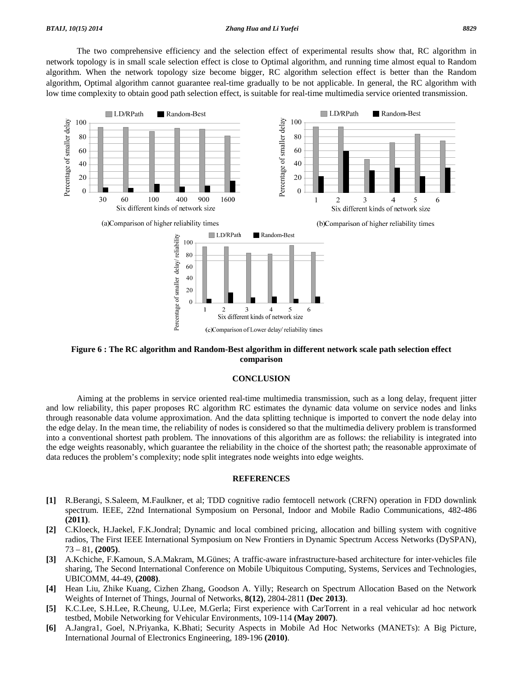#### *BTAIJ, 10(15) 2014 Zhang Hua and Li Yuefei 8829*

 The two comprehensive efficiency and the selection effect of experimental results show that, RC algorithm in network topology is in small scale selection effect is close to Optimal algorithm, and running time almost equal to Random algorithm. When the network topology size become bigger, RC algorithm selection effect is better than the Random algorithm, Optimal algorithm cannot guarantee real-time gradually to be not applicable. In general, the RC algorithm with low time complexity to obtain good path selection effect, is suitable for real-time multimedia service oriented transmission.



### **Figure 6 : The RC algorithm and Random-Best algorithm in different network scale path selection effect comparison**

#### **CONCLUSION**

 Aiming at the problems in service oriented real-time multimedia transmission, such as a long delay, frequent jitter and low reliability, this paper proposes RC algorithm RC estimates the dynamic data volume on service nodes and links through reasonable data volume approximation. And the data splitting technique is imported to convert the node delay into the edge delay. In the mean time, the reliability of nodes is considered so that the multimedia delivery problem is transformed into a conventional shortest path problem. The innovations of this algorithm are as follows: the reliability is integrated into the edge weights reasonably, which guarantee the reliability in the choice of the shortest path; the reasonable approximate of data reduces the problem's complexity; node split integrates node weights into edge weights.

### **REFERENCES**

- **[1]** R.Berangi, S.Saleem, M.Faulkner, et al; TDD cognitive radio femtocell network (CRFN) operation in FDD downlink spectrum. IEEE, 22nd International Symposium on Personal, Indoor and Mobile Radio Communications, 482-486 **(2011)**.
- **[2]** C.Kloeck, H.Jaekel, F.K.Jondral; Dynamic and local combined pricing, allocation and billing system with cognitive radios, The First IEEE International Symposium on New Frontiers in Dynamic Spectrum Access Networks (DySPAN), 73 – 81, **(2005)**.
- **[3]** A.Kchiche, F.Kamoun, S.A.Makram, M.Günes; A traffic-aware infrastructure-based architecture for inter-vehicles file sharing, The Second International Conference on Mobile Ubiquitous Computing, Systems, Services and Technologies, UBICOMM, 44-49, **(2008)**.
- **[4]** Hean Liu, Zhike Kuang, Cizhen Zhang, Goodson A. Yilly; Research on Spectrum Allocation Based on the Network Weights of Internet of Things, Journal of Networks, **8(12)**, 2804-2811 **(Dec 2013)**.
- **[5]** K.C.Lee, S.H.Lee, R.Cheung, U.Lee, M.Gerla; First experience with CarTorrent in a real vehicular ad hoc network testbed, Mobile Networking for Vehicular Environments, 109-114 **(May 2007)**.
- **[6]** A.Jangra1, Goel, N.Priyanka, K.Bhati; Security Aspects in Mobile Ad Hoc Networks (MANETs): A Big Picture, International Journal of Electronics Engineering, 189-196 **(2010)**.